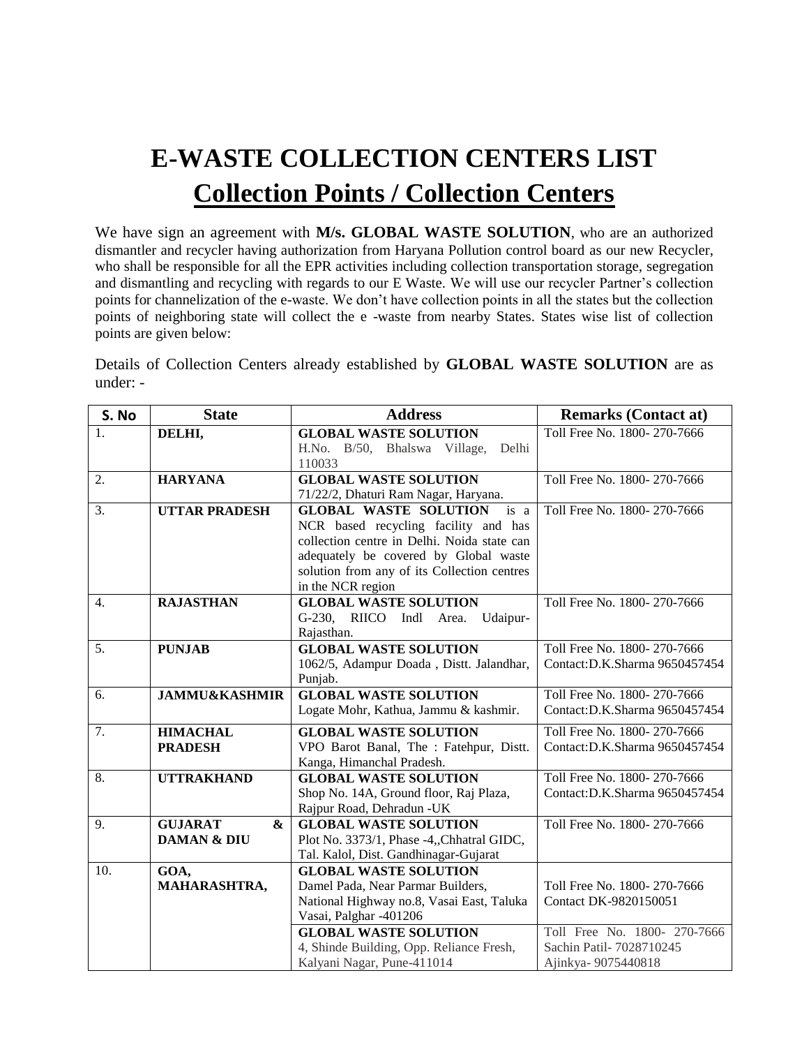## **E-WASTE COLLECTION CENTERS LIST Collection Points / Collection Centers**

We have sign an agreement with **M/s. GLOBAL WASTE SOLUTION**, who are an authorized dismantler and recycler having authorization from Haryana Pollution control board as our new Recycler, who shall be responsible for all the EPR activities including collection transportation storage, segregation and dismantling and recycling with regards to our E Waste. We will use our recycler Partner's collection points for channelization of the e-waste. We don't have collection points in all the states but the collection points of neighboring state will collect the e -waste from nearby States. States wise list of collection points are given below:

Details of Collection Centers already established by **GLOBAL WASTE SOLUTION** are as under: -

| S. No            | <b>State</b>             | <b>Address</b>                                  | <b>Remarks (Contact at)</b>    |
|------------------|--------------------------|-------------------------------------------------|--------------------------------|
| 1.               | DELHI,                   | <b>GLOBAL WASTE SOLUTION</b>                    | Toll Free No. 1800-270-7666    |
|                  |                          | H.No. B/50, Bhalswa Village,<br>Delhi           |                                |
|                  |                          | 110033                                          |                                |
| 2.               | <b>HARYANA</b>           | <b>GLOBAL WASTE SOLUTION</b>                    | Toll Free No. 1800-270-7666    |
|                  |                          | 71/22/2, Dhaturi Ram Nagar, Haryana.            |                                |
| 3.               | <b>UTTAR PRADESH</b>     | <b>GLOBAL WASTE SOLUTION</b><br>is a            | Toll Free No. 1800-270-7666    |
|                  |                          | NCR based recycling facility and has            |                                |
|                  |                          | collection centre in Delhi. Noida state can     |                                |
|                  |                          | adequately be covered by Global waste           |                                |
|                  |                          | solution from any of its Collection centres     |                                |
|                  |                          | in the NCR region                               |                                |
| $\overline{4}$ . | <b>RAJASTHAN</b>         | <b>GLOBAL WASTE SOLUTION</b>                    | Toll Free No. 1800-270-7666    |
|                  |                          | RIICO<br>$G-230$ ,<br>Indl<br>Area.<br>Udaipur- |                                |
|                  |                          | Rajasthan.                                      |                                |
| 5.               | <b>PUNJAB</b>            | <b>GLOBAL WASTE SOLUTION</b>                    | Toll Free No. 1800-270-7666    |
|                  |                          | 1062/5, Adampur Doada, Distt. Jalandhar,        | Contact: D.K.Sharma 9650457454 |
|                  |                          | Punjab.                                         |                                |
| 6.               | <b>JAMMU&amp;KASHMIR</b> | <b>GLOBAL WASTE SOLUTION</b>                    | Toll Free No. 1800-270-7666    |
|                  |                          | Logate Mohr, Kathua, Jammu & kashmir.           | Contact:D.K.Sharma 9650457454  |
| 7.               | <b>HIMACHAL</b>          | <b>GLOBAL WASTE SOLUTION</b>                    | Toll Free No. 1800-270-7666    |
|                  | <b>PRADESH</b>           | VPO Barot Banal, The: Fatehpur, Distt.          | Contact:D.K.Sharma 9650457454  |
|                  |                          | Kanga, Himanchal Pradesh.                       |                                |
| 8.               | <b>UTTRAKHAND</b>        | <b>GLOBAL WASTE SOLUTION</b>                    | Toll Free No. 1800-270-7666    |
|                  |                          | Shop No. 14A, Ground floor, Raj Plaza,          | Contact:D.K.Sharma 9650457454  |
|                  |                          | Rajpur Road, Dehradun -UK                       |                                |
| 9.               | <b>GUJARAT</b><br>&      | <b>GLOBAL WASTE SOLUTION</b>                    | Toll Free No. 1800-270-7666    |
|                  | <b>DAMAN &amp; DIU</b>   | Plot No. 3373/1, Phase -4,, Chhatral GIDC,      |                                |
|                  |                          | Tal. Kalol, Dist. Gandhinagar-Gujarat           |                                |
| 10.              | GOA,                     | <b>GLOBAL WASTE SOLUTION</b>                    |                                |
|                  | MAHARASHTRA,             | Damel Pada, Near Parmar Builders,               | Toll Free No. 1800-270-7666    |
|                  |                          | National Highway no.8, Vasai East, Taluka       | Contact DK-9820150051          |
|                  |                          | Vasai, Palghar -401206                          |                                |
|                  |                          | <b>GLOBAL WASTE SOLUTION</b>                    | Toll Free No. 1800- 270-7666   |
|                  |                          | 4, Shinde Building, Opp. Reliance Fresh,        | Sachin Patil- 7028710245       |
|                  |                          | Kalyani Nagar, Pune-411014                      | Ajinkya-9075440818             |